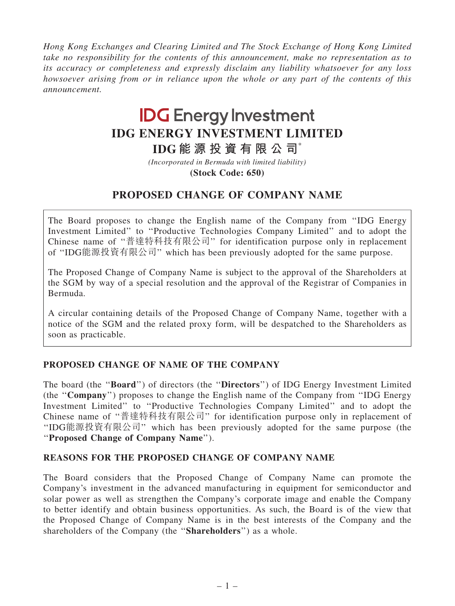Hong Kong Exchanges and Clearing Limited and The Stock Exchange of Hong Kong Limited take no responsibility for the contents of this announcement, make no representation as to its accuracy or completeness and expressly disclaim any liability whatsoever for any loss howsoever arising from or in reliance upon the whole or any part of the contents of this announcement.

# **IDG Energy Investment IDG ENERGY INVESTMENT LIMITED**

**IDG 能 源 投 資 有 限 公 司**\*

**(Stock Code: 650)** *(Incorporated in Bermuda with limited liability)*

# PROPOSED CHANGE OF COMPANY NAME

The Board proposes to change the English name of the Company from ''IDG Energy Investment Limited'' to ''Productive Technologies Company Limited'' and to adopt the Chinese name of ''普達特科技有限公司'' for identification purpose only in replacement of ''IDG能源投資有限公司'' which has been previously adopted for the same purpose.

The Proposed Change of Company Name is subject to the approval of the Shareholders at the SGM by way of a special resolution and the approval of the Registrar of Companies in Bermuda.

A circular containing details of the Proposed Change of Company Name, together with a notice of the SGM and the related proxy form, will be despatched to the Shareholders as soon as practicable.

# PROPOSED CHANGE OF NAME OF THE COMPANY

The board (the ''Board'') of directors (the ''Directors'') of IDG Energy Investment Limited (the ''Company'') proposes to change the English name of the Company from ''IDG Energy Investment Limited'' to ''Productive Technologies Company Limited'' and to adopt the Chinese name of ''普達特科技有限公司'' for identification purpose only in replacement of ''IDG能源投資有限公司'' which has been previously adopted for the same purpose (the ''Proposed Change of Company Name'').

#### REASONS FOR THE PROPOSED CHANGE OF COMPANY NAME

The Board considers that the Proposed Change of Company Name can promote the Company's investment in the advanced manufacturing in equipment for semiconductor and solar power as well as strengthen the Company's corporate image and enable the Company to better identify and obtain business opportunities. As such, the Board is of the view that the Proposed Change of Company Name is in the best interests of the Company and the shareholders of the Company (the "Shareholders") as a whole.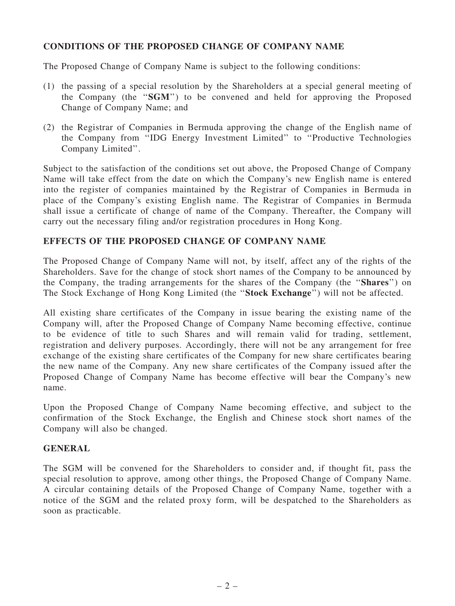# CONDITIONS OF THE PROPOSED CHANGE OF COMPANY NAME

The Proposed Change of Company Name is subject to the following conditions:

- (1) the passing of a special resolution by the Shareholders at a special general meeting of the Company (the ''SGM'') to be convened and held for approving the Proposed Change of Company Name; and
- (2) the Registrar of Companies in Bermuda approving the change of the English name of the Company from ''IDG Energy Investment Limited'' to ''Productive Technologies Company Limited''.

Subject to the satisfaction of the conditions set out above, the Proposed Change of Company Name will take effect from the date on which the Company's new English name is entered into the register of companies maintained by the Registrar of Companies in Bermuda in place of the Company's existing English name. The Registrar of Companies in Bermuda shall issue a certificate of change of name of the Company. Thereafter, the Company will carry out the necessary filing and/or registration procedures in Hong Kong.

#### EFFECTS OF THE PROPOSED CHANGE OF COMPANY NAME

The Proposed Change of Company Name will not, by itself, affect any of the rights of the Shareholders. Save for the change of stock short names of the Company to be announced by the Company, the trading arrangements for the shares of the Company (the ''Shares'') on The Stock Exchange of Hong Kong Limited (the ''Stock Exchange'') will not be affected.

All existing share certificates of the Company in issue bearing the existing name of the Company will, after the Proposed Change of Company Name becoming effective, continue to be evidence of title to such Shares and will remain valid for trading, settlement, registration and delivery purposes. Accordingly, there will not be any arrangement for free exchange of the existing share certificates of the Company for new share certificates bearing the new name of the Company. Any new share certificates of the Company issued after the Proposed Change of Company Name has become effective will bear the Company's new name.

Upon the Proposed Change of Company Name becoming effective, and subject to the confirmation of the Stock Exchange, the English and Chinese stock short names of the Company will also be changed.

# **GENERAL**

The SGM will be convened for the Shareholders to consider and, if thought fit, pass the special resolution to approve, among other things, the Proposed Change of Company Name. A circular containing details of the Proposed Change of Company Name, together with a notice of the SGM and the related proxy form, will be despatched to the Shareholders as soon as practicable.